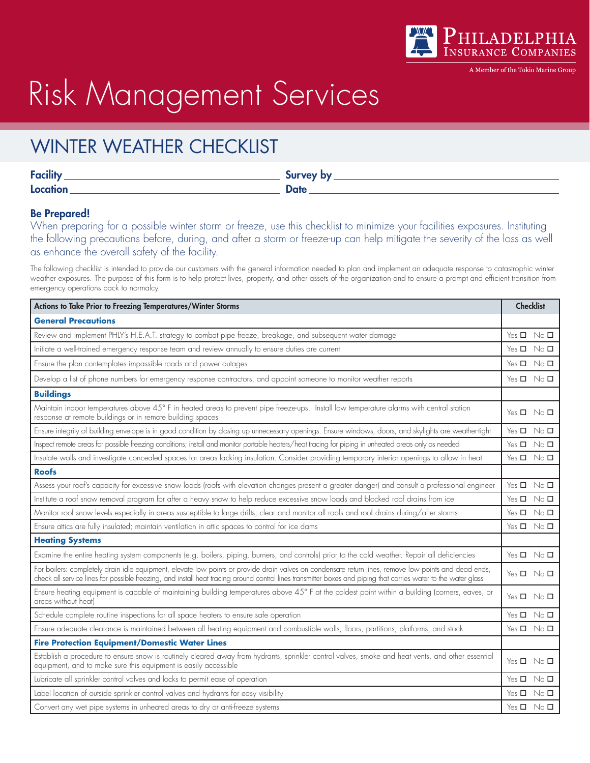

A Member of the Tokio Marine Group

# Risk Management Services

### WINTER WEATHER CHECKLIST

| Eacility<br><b>COLLEGE</b> | Survey by   |
|----------------------------|-------------|
| Location                   | <b>Date</b> |

#### Be Prepared!

When preparing for a possible winter storm or freeze, use this checklist to minimize your facilities exposures. Instituting the following precautions before, during, and after a storm or freeze-up can help mitigate the severity of the loss as well as enhance the overall safety of the facility.

The following checklist is intended to provide our customers with the general information needed to plan and implement an adequate response to catastrophic winter weather exposures. The purpose of this form is to help protect lives, property, and other assets of the organization and to ensure a prompt and efficient transition from emergency operations back to normalcy.

| Actions to Take Prior to Freezing Temperatures/Winter Storms                                                                                                                                                                                                                                                             |                            | <b>Checklist</b> |  |
|--------------------------------------------------------------------------------------------------------------------------------------------------------------------------------------------------------------------------------------------------------------------------------------------------------------------------|----------------------------|------------------|--|
| <b>General Precautions</b>                                                                                                                                                                                                                                                                                               |                            |                  |  |
| Review and implement PHLY's H.E.A.T. strategy to combat pipe freeze, breakage, and subsequent water damage                                                                                                                                                                                                               | Yes □ No □                 |                  |  |
| Initiate a well-trained emergency response team and review annually to ensure duties are current                                                                                                                                                                                                                         | $Yes \Box No \Box$         |                  |  |
| Ensure the plan contemplates impassible roads and power outages                                                                                                                                                                                                                                                          | Yes ロ No ロ                 |                  |  |
| Develop a list of phone numbers for emergency response contractors, and appoint someone to monitor weather reports                                                                                                                                                                                                       | $Yes \Box No \Box$         |                  |  |
| <b>Buildings</b>                                                                                                                                                                                                                                                                                                         |                            |                  |  |
| Maintain indoor temperatures above 45° F in heated areas to prevent pipe freeze-ups. Install low temperature alarms with central station<br>response at remote buildings or in remote building spaces                                                                                                                    | $Yes \Box No \Box$         |                  |  |
| Ensure integrity of building envelope is in good condition by closing up unnecessary openings. Ensure windows, doors, and skylights are weather-tight                                                                                                                                                                    | $Yes \Box No \Box$         |                  |  |
| Inspect remote areas for possible freezing conditions; install and monitor portable heaters/heat tracing for piping in unheated areas only as needed                                                                                                                                                                     | Yes ロ No ロ                 |                  |  |
| Insulate walls and investigate concealed spaces for areas lacking insulation. Consider providing temporary interior openings to allow in heat                                                                                                                                                                            | $Yes \Box No \Box$         |                  |  |
| <b>Roofs</b>                                                                                                                                                                                                                                                                                                             |                            |                  |  |
| Assess your roof's capacity for excessive snow loads (roofs with elevation changes present a greater danger) and consult a professional engineer                                                                                                                                                                         | $Yes \Box No \Box$         |                  |  |
| Institute a roof snow removal program for after a heavy snow to help reduce excessive snow loads and blocked roof drains from ice                                                                                                                                                                                        | Yes <b>D</b> No <b>D</b>   |                  |  |
| Monitor roof snow levels especially in areas susceptible to large drifts; clear and monitor all roofs and roof drains during/after storms                                                                                                                                                                                | Yes $\square$ No $\square$ |                  |  |
| Ensure attics are fully insulated; maintain ventilation in attic spaces to control for ice dams                                                                                                                                                                                                                          | $Yes \Box No \Box$         |                  |  |
| <b>Heating Systems</b>                                                                                                                                                                                                                                                                                                   |                            |                  |  |
| Examine the entire heating system components (e.g. boilers, piping, burners, and controls) prior to the cold weather. Repair all deficiencies                                                                                                                                                                            | $Yes \Box No \Box$         |                  |  |
| For boilers: completely drain idle equipment, elevate low points or provide drain valves on condensate return lines, remove low points and dead ends,<br>check all service lines for possible freezing, and install heat tracing around control lines transmitter boxes and piping that carries water to the water glass | Yes ロ No ロ                 |                  |  |
| Ensure heating equipment is capable of maintaining building temperatures above 45° F at the coldest point within a building (corners, eaves, or<br>areas without heat)                                                                                                                                                   | $Yes \Box No \Box$         |                  |  |
| Schedule complete routine inspections for all space heaters to ensure safe operation                                                                                                                                                                                                                                     | $Yes \Box No \Box$         |                  |  |
| Ensure adequate clearance is maintained between all heating equipment and combustible walls, floors, partitions, platforms, and stock                                                                                                                                                                                    | $Yes \Box No \Box$         |                  |  |
| <b>Fire Protection Equipment/Domestic Water Lines</b>                                                                                                                                                                                                                                                                    |                            |                  |  |
| Establish a procedure to ensure snow is routinely cleared away from hydrants, sprinkler control valves, smoke and heat vents, and other essential<br>equipment, and to make sure this equipment is easily accessible                                                                                                     | $Yes \Box No \Box$         |                  |  |
| Lubricate all sprinkler control valves and locks to permit ease of operation                                                                                                                                                                                                                                             | Yes $\square$ No $\square$ |                  |  |
| Label location of outside sprinkler control valves and hydrants for easy visibility                                                                                                                                                                                                                                      | $Yes \Box No \Box$         |                  |  |
| Convert any wet pipe systems in unheated areas to dry or anti-freeze systems                                                                                                                                                                                                                                             | $Yes \Box No \Box$         |                  |  |